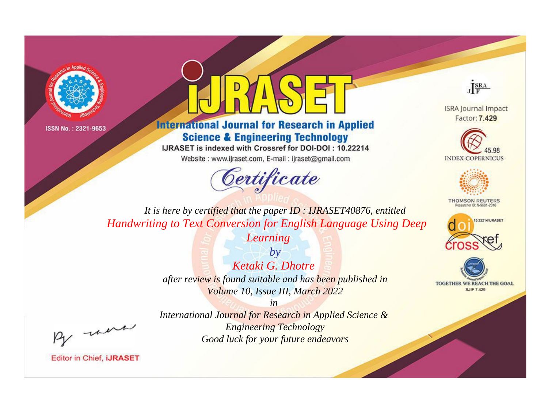



**International Journal for Research in Applied Science & Engineering Technology** 

IJRASET is indexed with Crossref for DOI-DOI: 10.22214

Website: www.ijraset.com, E-mail: ijraset@gmail.com





**ISRA Journal Impact** Factor: 7.429





**THOMSON REUTERS** 



TOGETHER WE REACH THE GOAL **SJIF 7.429** 

*It is here by certified that the paper ID : IJRASET40876, entitled Handwriting to Text Conversion for English Language Using Deep* 

*Learning*

*by Ketaki G. Dhotre after review is found suitable and has been published in Volume 10, Issue III, March 2022*

, un

*International Journal for Research in Applied Science & Engineering Technology Good luck for your future endeavors*

*in*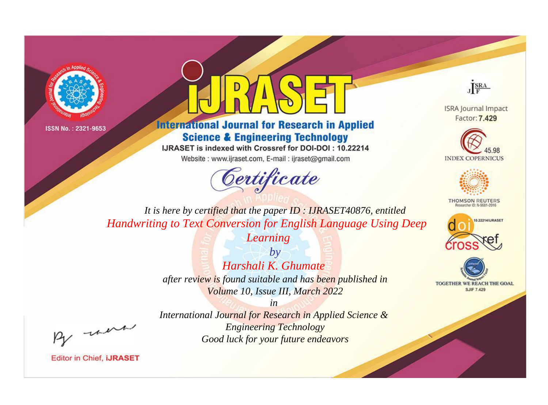



**International Journal for Research in Applied Science & Engineering Technology** 

IJRASET is indexed with Crossref for DOI-DOI: 10.22214

Website: www.ijraset.com, E-mail: ijraset@gmail.com





**ISRA Journal Impact** Factor: 7.429





**THOMSON REUTERS** 



TOGETHER WE REACH THE GOAL **SJIF 7.429** 

*It is here by certified that the paper ID : IJRASET40876, entitled Handwriting to Text Conversion for English Language Using Deep* 

*Learning*

*by Harshali K. Ghumate after review is found suitable and has been published in Volume 10, Issue III, March 2022*

, un

*International Journal for Research in Applied Science & Engineering Technology Good luck for your future endeavors*

*in*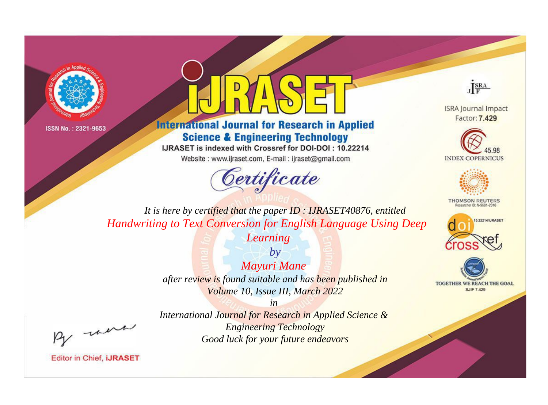



**International Journal for Research in Applied Science & Engineering Technology** 

IJRASET is indexed with Crossref for DOI-DOI: 10.22214

Website: www.ijraset.com, E-mail: ijraset@gmail.com





**ISRA Journal Impact** Factor: 7.429





**THOMSON REUTERS** 



TOGETHER WE REACH THE GOAL **SJIF 7.429** 

*It is here by certified that the paper ID : IJRASET40876, entitled Handwriting to Text Conversion for English Language Using Deep* 

*Learning*

*by Mayuri Mane after review is found suitable and has been published in Volume 10, Issue III, March 2022*

, un

*International Journal for Research in Applied Science & Engineering Technology Good luck for your future endeavors*

*in*